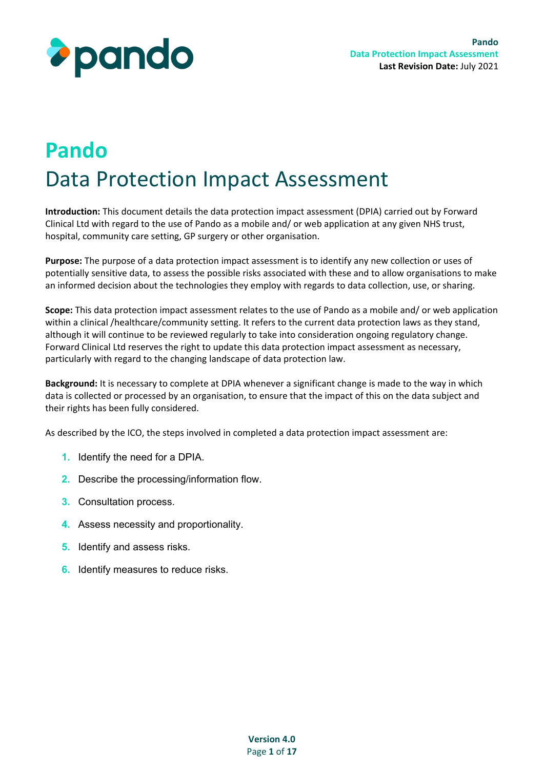

# **Pando** Data Protection Impact Assessment

**Introduction:** This document details the data protection impact assessment (DPIA) carried out by Forward Clinical Ltd with regard to the use of Pando as a mobile and/ or web application at any given NHS trust, hospital, community care setting, GP surgery or other organisation.

**Purpose:** The purpose of a data protection impact assessment is to identify any new collection or uses of potentially sensitive data, to assess the possible risks associated with these and to allow organisations to make an informed decision about the technologies they employ with regards to data collection, use, or sharing.

**Scope:** This data protection impact assessment relates to the use of Pando as a mobile and/ or web application within a clinical /healthcare/community setting. It refers to the current data protection laws as they stand, although it will continue to be reviewed regularly to take into consideration ongoing regulatory change. Forward Clinical Ltd reserves the right to update this data protection impact assessment as necessary, particularly with regard to the changing landscape of data protection law.

**Background:** It is necessary to complete at DPIA whenever a significant change is made to the way in which data is collected or processed by an organisation, to ensure that the impact of this on the data subject and their rights has been fully considered.

As described by the ICO, the steps involved in completed a data protection impact assessment are:

- **1.** Identify the need for a DPIA.
- **2.** Describe the processing/information flow.
- **3.** Consultation process.
- **4.** Assess necessity and proportionality.
- **5.** Identify and assess risks.
- **6.** Identify measures to reduce risks.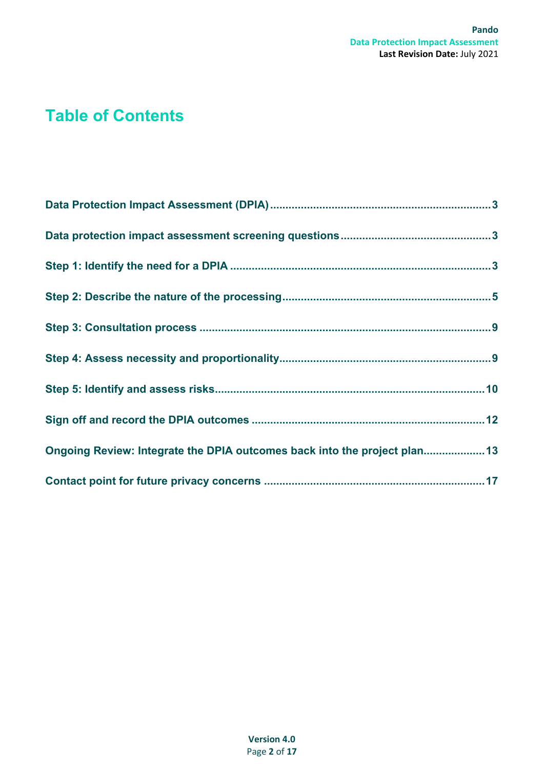# **Table of Contents**

| Ongoing Review: Integrate the DPIA outcomes back into the project plan 13 |  |
|---------------------------------------------------------------------------|--|
|                                                                           |  |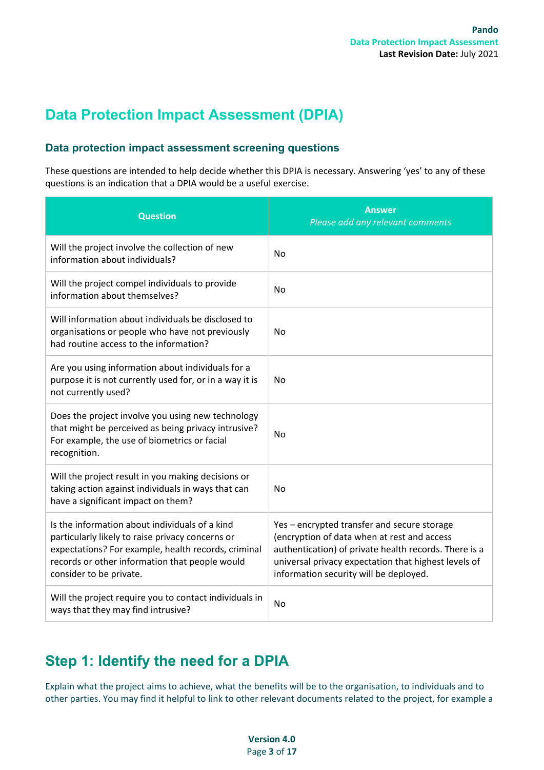## <span id="page-2-1"></span><span id="page-2-0"></span>**Data Protection Impact Assessment (DPIA)**

#### **Data protection impact assessment screening questions**

These questions are intended to help decide whether this DPIA is necessary. Answering 'yes' to any of these questions is an indication that a DPIA would be a useful exercise.

| <b>Question</b>                                                                                                                                                                                                                        | <b>Answer</b><br>Please add any relevant comments                                                                                                                                                                                                     |
|----------------------------------------------------------------------------------------------------------------------------------------------------------------------------------------------------------------------------------------|-------------------------------------------------------------------------------------------------------------------------------------------------------------------------------------------------------------------------------------------------------|
| Will the project involve the collection of new<br>information about individuals?                                                                                                                                                       | <b>No</b>                                                                                                                                                                                                                                             |
| Will the project compel individuals to provide<br>information about themselves?                                                                                                                                                        | No                                                                                                                                                                                                                                                    |
| Will information about individuals be disclosed to<br>organisations or people who have not previously<br>had routine access to the information?                                                                                        | No                                                                                                                                                                                                                                                    |
| Are you using information about individuals for a<br>purpose it is not currently used for, or in a way it is<br>not currently used?                                                                                                    | No                                                                                                                                                                                                                                                    |
| Does the project involve you using new technology<br>that might be perceived as being privacy intrusive?<br>For example, the use of biometrics or facial<br>recognition.                                                               | No                                                                                                                                                                                                                                                    |
| Will the project result in you making decisions or<br>taking action against individuals in ways that can<br>have a significant impact on them?                                                                                         | No                                                                                                                                                                                                                                                    |
| Is the information about individuals of a kind<br>particularly likely to raise privacy concerns or<br>expectations? For example, health records, criminal<br>records or other information that people would<br>consider to be private. | Yes - encrypted transfer and secure storage<br>(encryption of data when at rest and access<br>authentication) of private health records. There is a<br>universal privacy expectation that highest levels of<br>information security will be deployed. |
| Will the project require you to contact individuals in<br>ways that they may find intrusive?                                                                                                                                           | No                                                                                                                                                                                                                                                    |

# <span id="page-2-2"></span>**Step 1: Identify the need for a DPIA**

Explain what the project aims to achieve, what the benefits will be to the organisation, to individuals and to other parties. You may find it helpful to link to other relevant documents related to the project, for example a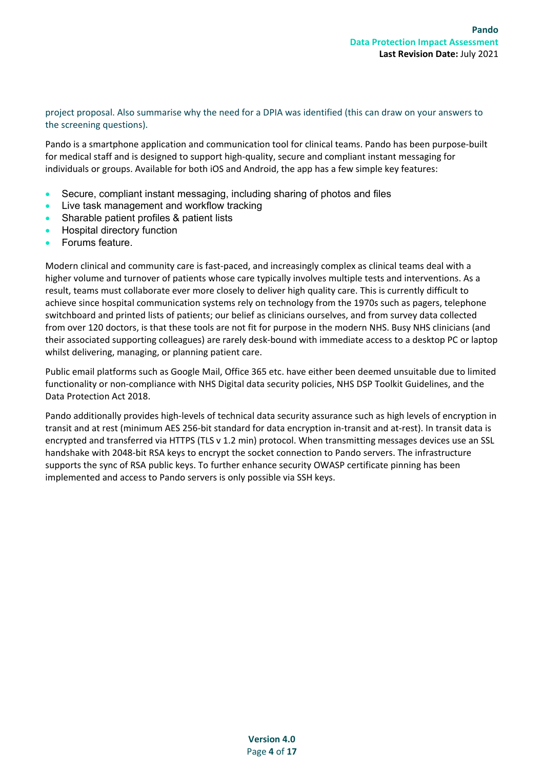project proposal. Also summarise why the need for a DPIA was identified (this can draw on your answers to the screening questions).

Pando is a smartphone application and communication tool for clinical teams. Pando has been purpose-built for medical staff and is designed to support high-quality, secure and compliant instant messaging for individuals or groups. Available for both iOS and Android, the app has a few simple key features:

- Secure, compliant instant messaging, including sharing of photos and files
- Live task management and workflow tracking
- Sharable patient profiles & patient lists
- Hospital directory function
- Forums feature.

Modern clinical and community care is fast-paced, and increasingly complex as clinical teams deal with a higher volume and turnover of patients whose care typically involves multiple tests and interventions. As a result, teams must collaborate ever more closely to deliver high quality care. This is currently difficult to achieve since hospital communication systems rely on technology from the 1970s such as pagers, telephone switchboard and printed lists of patients; our belief as clinicians ourselves, and from survey data collected from over 120 doctors, is that these tools are not fit for purpose in the modern NHS. Busy NHS clinicians (and their associated supporting colleagues) are rarely desk-bound with immediate access to a desktop PC or laptop whilst delivering, managing, or planning patient care.

Public email platforms such as Google Mail, Office 365 etc. have either been deemed unsuitable due to limited functionality or non-compliance with NHS Digital data security policies, NHS DSP Toolkit Guidelines, and the Data Protection Act 2018.

Pando additionally provides high-levels of technical data security assurance such as high levels of encryption in transit and at rest (minimum AES 256-bit standard for data encryption in-transit and at-rest). In transit data is encrypted and transferred via HTTPS (TLS v 1.2 min) protocol. When transmitting messages devices use an SSL handshake with 2048-bit RSA keys to encrypt the socket connection to Pando servers. The infrastructure supports the sync of RSA public keys. To further enhance security OWASP certificate pinning has been implemented and access to Pando servers is only possible via SSH keys.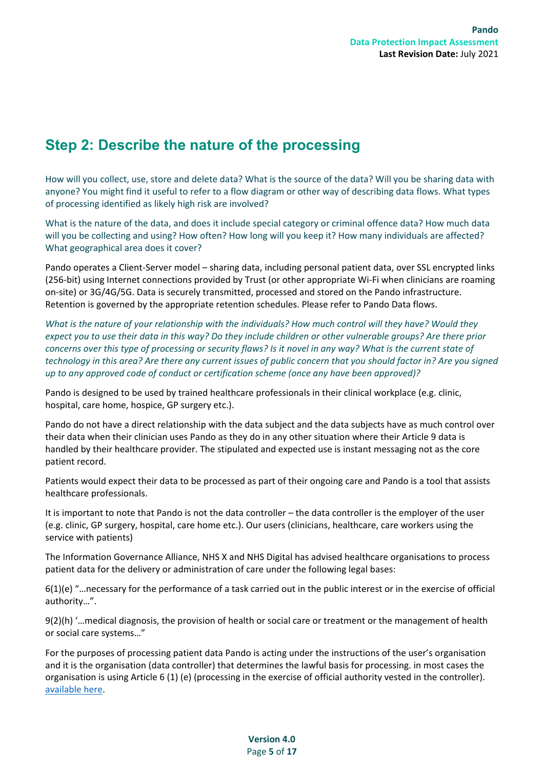### <span id="page-4-0"></span>**Step 2: Describe the nature of the processing**

How will you collect, use, store and delete data? What is the source of the data? Will you be sharing data with anyone? You might find it useful to refer to a flow diagram or other way of describing data flows. What types of processing identified as likely high risk are involved?

What is the nature of the data, and does it include special category or criminal offence data? How much data will you be collecting and using? How often? How long will you keep it? How many individuals are affected? What geographical area does it cover?

Pando operates a Client-Server model – sharing data, including personal patient data, over SSL encrypted links (256-bit) using Internet connections provided by Trust (or other appropriate Wi-Fi when clinicians are roaming on-site) or 3G/4G/5G. Data is securely transmitted, processed and stored on the Pando infrastructure. Retention is governed by the appropriate retention schedules. Please refer to Pando Data flows.

*What is the nature of your relationship with the individuals? How much control will they have? Would they expect you to use their data in this way? Do they include children or other vulnerable groups? Are there prior concerns over this type of processing or security flaws? Is it novel in any way? What is the current state of technology in this area? Are there any current issues of public concern that you should factor in? Are you signed up to any approved code of conduct or certification scheme (once any have been approved)?*

Pando is designed to be used by trained healthcare professionals in their clinical workplace (e.g. clinic, hospital, care home, hospice, GP surgery etc.).

Pando do not have a direct relationship with the data subject and the data subjects have as much control over their data when their clinician uses Pando as they do in any other situation where their Article 9 data is handled by their healthcare provider. The stipulated and expected use is instant messaging not as the core patient record.

Patients would expect their data to be processed as part of their ongoing care and Pando is a tool that assists healthcare professionals.

It is important to note that Pando is not the data controller – the data controller is the employer of the user (e.g. clinic, GP surgery, hospital, care home etc.). Our users (clinicians, healthcare, care workers using the service with patients)

The Information Governance Alliance, NHS X and NHS Digital has advised healthcare organisations to process patient data for the delivery or administration of care under the following legal bases:

6(1)(e) "…necessary for the performance of a task carried out in the public interest or in the exercise of official authority…".

9(2)(h) '…medical diagnosis, the provision of health or social care or treatment or the management of health or social care systems…"

For the purposes of processing patient data Pando is acting under the instructions of the user's organisation and it is the organisation (data controller) that determines the lawful basis for processing. in most cases the organisation is using Article 6 (1) (e) (processing in the exercise of official authority vested in the controller). [available here.](https://2kujjw9em4t3t50733jppkvm-wpengine.netdna-ssl.com/wp-content/uploads/2021/01/Pando-Trust_Clinical-DPA-January-2021_V1.1.pdf)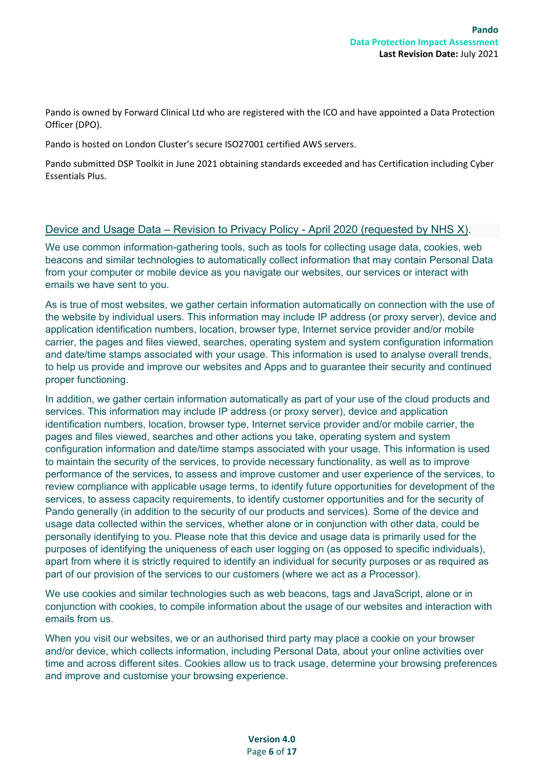Pando is owned by Forward Clinical Ltd who are registered with the ICO and have appointed a Data Protection Officer (DPO).

Pando is hosted on London Cluster's secure ISO27001 certified AWS servers.

Pando submitted DSP Toolkit in June 2021 obtaining standards exceeded and has Certification including Cyber Essentials Plus.

#### Device and Usage Data – Revision to Privacy Policy - April 2020 (requested by NHS X).

We use common information-gathering tools, such as tools for collecting usage data, cookies, web beacons and similar technologies to automatically collect information that may contain Personal Data from your computer or mobile device as you navigate our websites, our services or interact with emails we have sent to you.

As is true of most websites, we gather certain information automatically on connection with the use of the website by individual users. This information may include IP address (or proxy server), device and application identification numbers, location, browser type, Internet service provider and/or mobile carrier, the pages and files viewed, searches, operating system and system configuration information and date/time stamps associated with your usage. This information is used to analyse overall trends, to help us provide and improve our websites and Apps and to guarantee their security and continued proper functioning.

In addition, we gather certain information automatically as part of your use of the cloud products and services. This information may include IP address (or proxy server), device and application identification numbers, location, browser type, Internet service provider and/or mobile carrier, the pages and files viewed, searches and other actions you take, operating system and system configuration information and date/time stamps associated with your usage. This information is used to maintain the security of the services, to provide necessary functionality, as well as to improve performance of the services, to assess and improve customer and user experience of the services, to review compliance with applicable usage terms, to identify future opportunities for development of the services, to assess capacity requirements, to identify customer opportunities and for the security of Pando generally (in addition to the security of our products and services). Some of the device and usage data collected within the services, whether alone or in conjunction with other data, could be personally identifying to you. Please note that this device and usage data is primarily used for the purposes of identifying the uniqueness of each user logging on (as opposed to specific individuals), apart from where it is strictly required to identify an individual for security purposes or as required as part of our provision of the services to our customers (where we act as a Processor).

We use cookies and similar technologies such as web beacons, tags and JavaScript, alone or in conjunction with cookies, to compile information about the usage of our websites and interaction with emails from us.

When you visit our websites, we or an authorised third party may place a cookie on your browser and/or device, which collects information, including Personal Data, about your online activities over time and across different sites. Cookies allow us to track usage, determine your browsing preferences and improve and customise your browsing experience.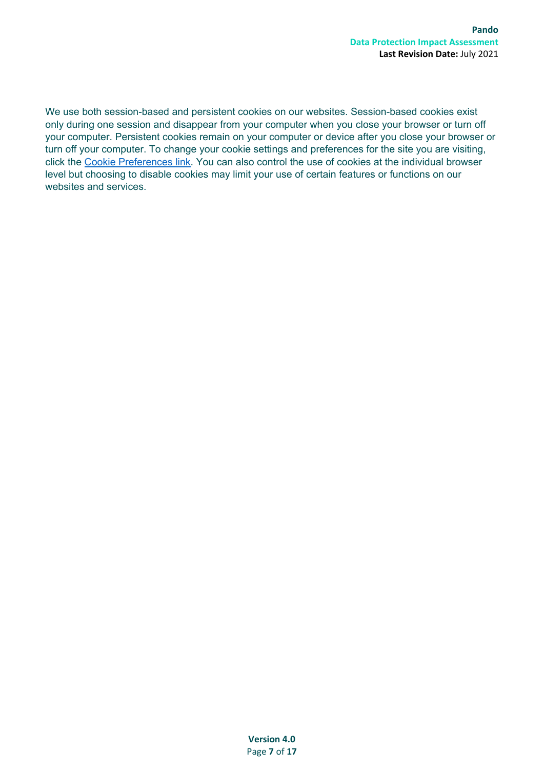We use both session-based and persistent cookies on our websites. Session-based cookies exist only during one session and disappear from your computer when you close your browser or turn off your computer. Persistent cookies remain on your computer or device after you close your browser or turn off your computer. To change your cookie settings and preferences for the site you are visiting, click the [Cookie Preferences link.](https://hellopando.com/privacy-policy/#cookies) You can also control the use of cookies at the individual browser level but choosing to disable cookies may limit your use of certain features or functions on our websites and services.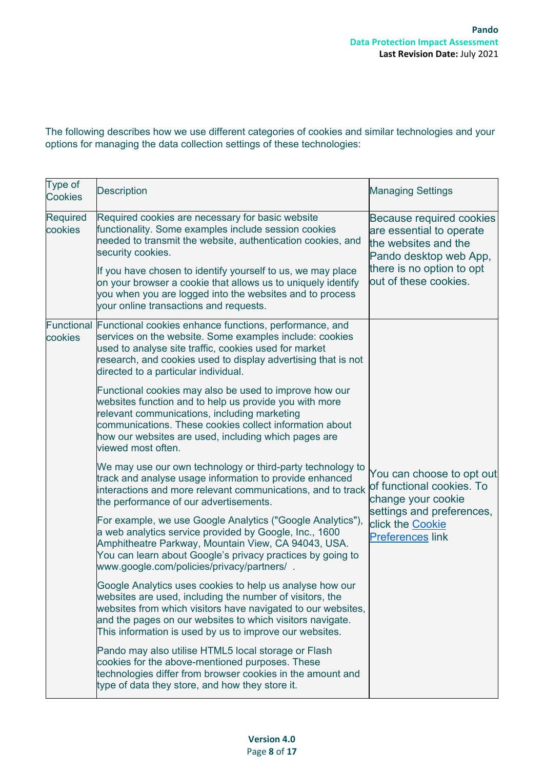The following describes how we use different categories of cookies and similar technologies and your options for managing the data collection settings of these technologies:

| Type of<br><b>Cookies</b>    | <b>Description</b>                                                                                                                                                                                                                                                                                                                                                                                                                | <b>Managing Settings</b>                                                                                                                                     |
|------------------------------|-----------------------------------------------------------------------------------------------------------------------------------------------------------------------------------------------------------------------------------------------------------------------------------------------------------------------------------------------------------------------------------------------------------------------------------|--------------------------------------------------------------------------------------------------------------------------------------------------------------|
| <b>Required</b><br>cookies   | Required cookies are necessary for basic website<br>functionality. Some examples include session cookies<br>needed to transmit the website, authentication cookies, and<br>security cookies.<br>If you have chosen to identify yourself to us, we may place<br>on your browser a cookie that allows us to uniquely identify<br>you when you are logged into the websites and to process<br>your online transactions and requests. | Because required cookies<br>are essential to operate<br>the websites and the<br>Pando desktop web App,<br>there is no option to opt<br>out of these cookies. |
| <b>Functional</b><br>cookies | Functional cookies enhance functions, performance, and<br>services on the website. Some examples include: cookies<br>used to analyse site traffic, cookies used for market<br>research, and cookies used to display advertising that is not<br>directed to a particular individual.                                                                                                                                               |                                                                                                                                                              |
|                              | Functional cookies may also be used to improve how our<br>websites function and to help us provide you with more<br>relevant communications, including marketing<br>communications. These cookies collect information about<br>how our websites are used, including which pages are<br>viewed most often.                                                                                                                         |                                                                                                                                                              |
|                              | We may use our own technology or third-party technology to<br>track and analyse usage information to provide enhanced<br>interactions and more relevant communications, and to track<br>the performance of our advertisements.                                                                                                                                                                                                    | You can choose to opt out<br>of functional cookies. To<br>change your cookie                                                                                 |
|                              | For example, we use Google Analytics ("Google Analytics"),<br>a web analytics service provided by Google, Inc., 1600<br>Amphitheatre Parkway, Mountain View, CA 94043, USA.<br>You can learn about Google's privacy practices by going to<br>www.google.com/policies/privacy/partners/.                                                                                                                                           | settings and preferences,<br>click the Cookie<br><b>Preferences link</b>                                                                                     |
|                              | Google Analytics uses cookies to help us analyse how our<br>websites are used, including the number of visitors, the<br>websites from which visitors have navigated to our websites,<br>and the pages on our websites to which visitors navigate.<br>This information is used by us to improve our websites.                                                                                                                      |                                                                                                                                                              |
|                              | Pando may also utilise HTML5 local storage or Flash<br>cookies for the above-mentioned purposes. These<br>technologies differ from browser cookies in the amount and<br>type of data they store, and how they store it.                                                                                                                                                                                                           |                                                                                                                                                              |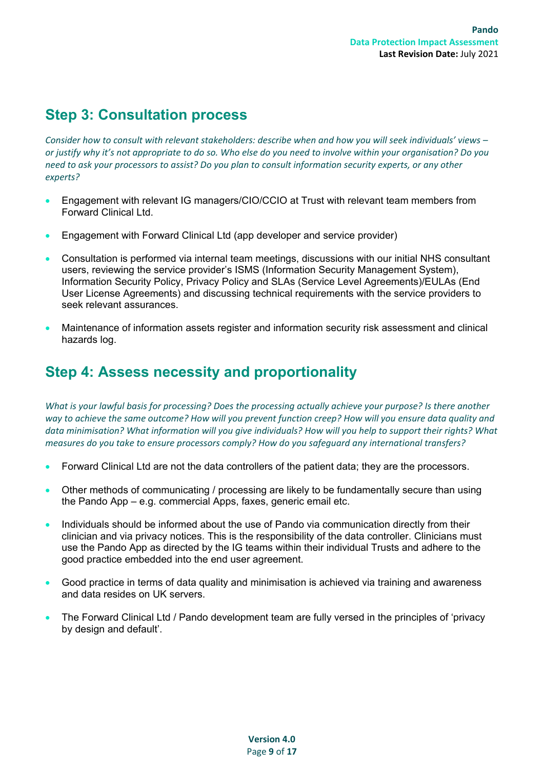#### <span id="page-8-0"></span>**Step 3: Consultation process**

*Consider how to consult with relevant stakeholders: describe when and how you will seek individuals' views – or justify why it's not appropriate to do so. Who else do you need to involve within your organisation? Do you need to ask your processors to assist? Do you plan to consult information security experts, or any other experts?*

- Engagement with relevant IG managers/CIO/CCIO at Trust with relevant team members from Forward Clinical Ltd.
- Engagement with Forward Clinical Ltd (app developer and service provider)
- Consultation is performed via internal team meetings, discussions with our initial NHS consultant users, reviewing the service provider's ISMS (Information Security Management System), Information Security Policy, Privacy Policy and SLAs (Service Level Agreements)/EULAs (End User License Agreements) and discussing technical requirements with the service providers to seek relevant assurances.
- Maintenance of information assets register and information security risk assessment and clinical hazards log.

#### <span id="page-8-1"></span>**Step 4: Assess necessity and proportionality**

*What is your lawful basis for processing? Does the processing actually achieve your purpose? Is there another way to achieve the same outcome? How will you prevent function creep? How will you ensure data quality and*  data minimisation? What information will you give individuals? How will you help to support their rights? What *measures do you take to ensure processors comply? How do you safeguard any international transfers?*

- Forward Clinical Ltd are not the data controllers of the patient data; they are the processors.
- Other methods of communicating / processing are likely to be fundamentally secure than using the Pando App – e.g. commercial Apps, faxes, generic email etc.
- Individuals should be informed about the use of Pando via communication directly from their clinician and via privacy notices. This is the responsibility of the data controller. Clinicians must use the Pando App as directed by the IG teams within their individual Trusts and adhere to the good practice embedded into the end user agreement.
- Good practice in terms of data quality and minimisation is achieved via training and awareness and data resides on UK servers.
- The Forward Clinical Ltd / Pando development team are fully versed in the principles of 'privacy by design and default'.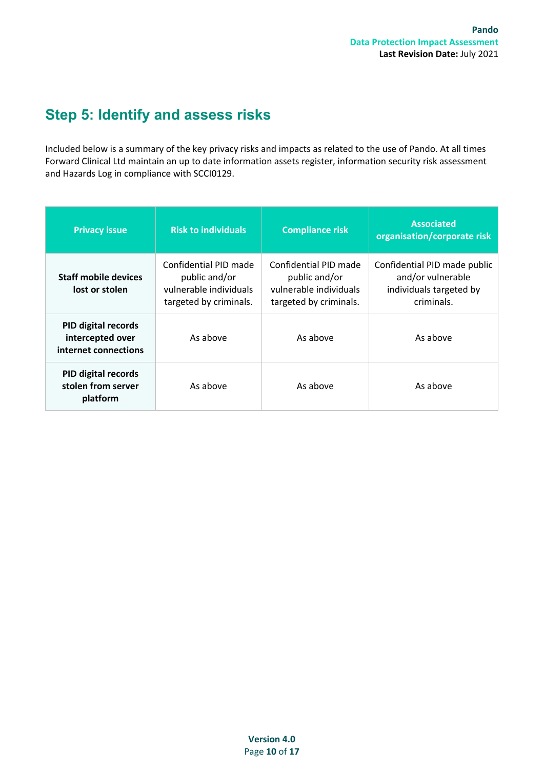### <span id="page-9-0"></span>**Step 5: Identify and assess risks**

Included below is a summary of the key privacy risks and impacts as related to the use of Pando. At all times Forward Clinical Ltd maintain an up to date information assets register, information security risk assessment and Hazards Log in compliance with SCCI0129.

| <b>Risk to individuals</b><br><b>Privacy issue</b>                                                                                          |          | <b>Compliance risk</b>                                                                     | <b>Associated</b><br>organisation/corporate risk                                           |  |
|---------------------------------------------------------------------------------------------------------------------------------------------|----------|--------------------------------------------------------------------------------------------|--------------------------------------------------------------------------------------------|--|
| Confidential PID made<br><b>Staff mobile devices</b><br>public and/or<br>vulnerable individuals<br>lost or stolen<br>targeted by criminals. |          | Confidential PID made<br>public and/or<br>vulnerable individuals<br>targeted by criminals. | Confidential PID made public<br>and/or vulnerable<br>individuals targeted by<br>criminals. |  |
| <b>PID digital records</b><br>intercepted over<br>internet connections                                                                      | As above | As above                                                                                   | As above                                                                                   |  |
| <b>PID digital records</b><br>stolen from server<br>As above<br>platform                                                                    |          | As above                                                                                   | As above                                                                                   |  |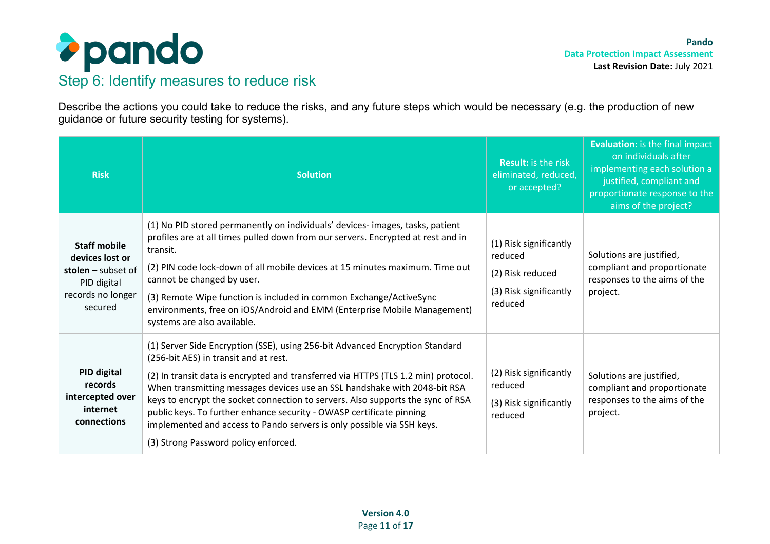

Describe the actions you could take to reduce the risks, and any future steps which would be necessary (e.g. the production of new guidance or future security testing for systems).

| <b>Risk</b>                                                                                                   | <b>Solution</b>                                                                                                                                                                                                                                                                                                                                                                                                                                                                                                                                                       | <b>Result:</b> is the risk<br>eliminated, reduced,<br>or accepted?                         | <b>Evaluation:</b> is the final impact<br>on individuals after<br>implementing each solution a<br>justified, compliant and<br>proportionate response to the<br>aims of the project? |
|---------------------------------------------------------------------------------------------------------------|-----------------------------------------------------------------------------------------------------------------------------------------------------------------------------------------------------------------------------------------------------------------------------------------------------------------------------------------------------------------------------------------------------------------------------------------------------------------------------------------------------------------------------------------------------------------------|--------------------------------------------------------------------------------------------|-------------------------------------------------------------------------------------------------------------------------------------------------------------------------------------|
| <b>Staff mobile</b><br>devices lost or<br>stolen $-$ subset of<br>PID digital<br>records no longer<br>secured | (1) No PID stored permanently on individuals' devices- images, tasks, patient<br>profiles are at all times pulled down from our servers. Encrypted at rest and in<br>transit.<br>(2) PIN code lock-down of all mobile devices at 15 minutes maximum. Time out<br>cannot be changed by user.<br>(3) Remote Wipe function is included in common Exchange/ActiveSync<br>environments, free on iOS/Android and EMM (Enterprise Mobile Management)<br>systems are also available.                                                                                          | (1) Risk significantly<br>reduced<br>(2) Risk reduced<br>(3) Risk significantly<br>reduced | Solutions are justified,<br>compliant and proportionate<br>responses to the aims of the<br>project.                                                                                 |
| PID digital<br>records<br>intercepted over<br>internet<br>connections                                         | (1) Server Side Encryption (SSE), using 256-bit Advanced Encryption Standard<br>(256-bit AES) in transit and at rest.<br>(2) In transit data is encrypted and transferred via HTTPS (TLS 1.2 min) protocol.<br>When transmitting messages devices use an SSL handshake with 2048-bit RSA<br>keys to encrypt the socket connection to servers. Also supports the sync of RSA<br>public keys. To further enhance security - OWASP certificate pinning<br>implemented and access to Pando servers is only possible via SSH keys.<br>(3) Strong Password policy enforced. | (2) Risk significantly<br>reduced<br>(3) Risk significantly<br>reduced                     | Solutions are justified,<br>compliant and proportionate<br>responses to the aims of the<br>project.                                                                                 |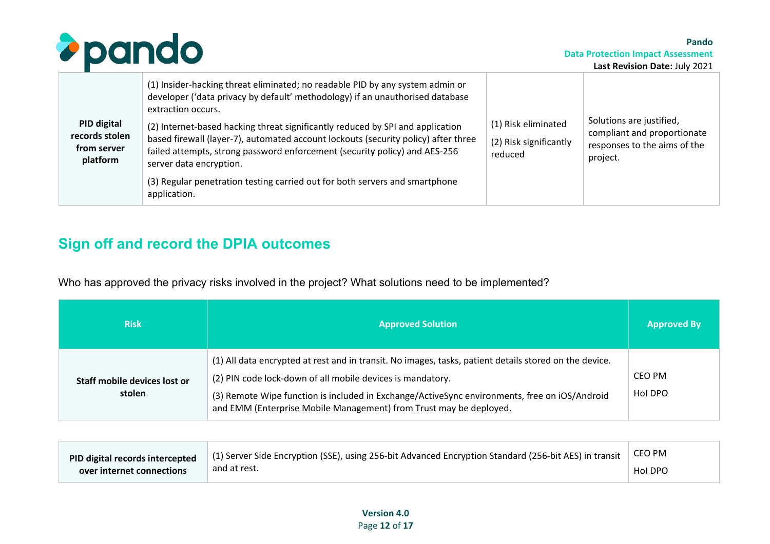

| PID digital<br>records stolen<br>from server<br>platform | extraction occurs.<br>(2) Internet-based hacking threat significantly reduced by SPI and application<br>based firewall (layer-7), automated account lockouts (security policy) after three<br>failed attempts, strong password enforcement (security policy) and AES-256<br>server data encryption.<br>(3) Regular penetration testing carried out for both servers and smartphone | (1) Risk eliminated<br>(2) Risk significantly<br>reduced | Solutions are justified,<br>compliant and proportionate<br>responses to the aims of the<br>project. |
|----------------------------------------------------------|------------------------------------------------------------------------------------------------------------------------------------------------------------------------------------------------------------------------------------------------------------------------------------------------------------------------------------------------------------------------------------|----------------------------------------------------------|-----------------------------------------------------------------------------------------------------|
|                                                          | application.                                                                                                                                                                                                                                                                                                                                                                       |                                                          |                                                                                                     |

#### **Sign off and record the DPIA outcomes**

Who has approved the privacy risks involved in the project? What solutions need to be implemented?

| <b>Risk</b>                            | <b>Approved Solution</b>                                                                                                                                                                                                                                                                                                                    | <b>Approved By</b> |
|----------------------------------------|---------------------------------------------------------------------------------------------------------------------------------------------------------------------------------------------------------------------------------------------------------------------------------------------------------------------------------------------|--------------------|
| Staff mobile devices lost or<br>stolen | (1) All data encrypted at rest and in transit. No images, tasks, patient details stored on the device.<br>(2) PIN code lock-down of all mobile devices is mandatory.<br>(3) Remote Wipe function is included in Exchange/ActiveSync environments, free on iOS/Android<br>and EMM (Enterprise Mobile Management) from Trust may be deployed. | CEO PM<br>Hol DPO  |

<span id="page-11-0"></span>

| PID digital records intercepted | $\Box$ (1) Server Side Encryption (SSE), using 256-bit Advanced Encryption Standard (256-bit AES) in transit at | CEO PM  |
|---------------------------------|-----------------------------------------------------------------------------------------------------------------|---------|
| over internet connections       | and at rest.                                                                                                    | Hol DPO |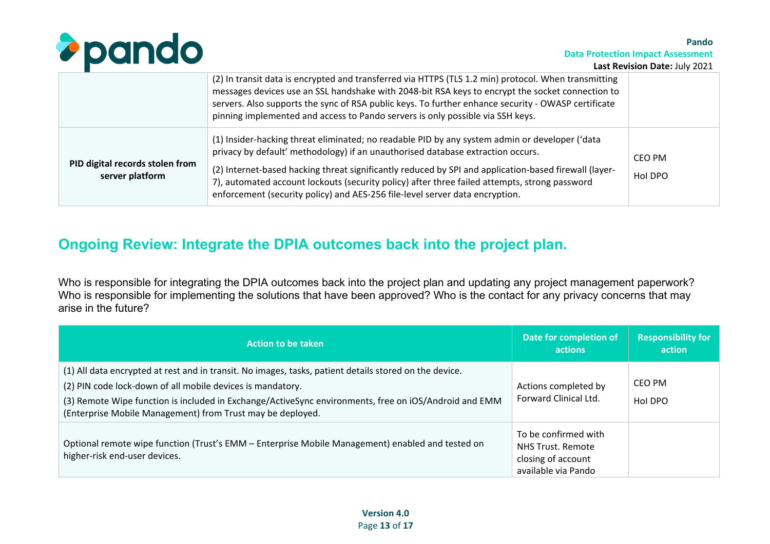

**Data Protection Impact Assessment**

**Pando**

|                                                    | (2) In transit data is encrypted and transferred via HTTPS (TLS 1.2 min) protocol. When transmitting<br>messages devices use an SSL handshake with 2048-bit RSA keys to encrypt the socket connection to<br>servers. Also supports the sync of RSA public keys. To further enhance security - OWASP certificate<br>pinning implemented and access to Pando servers is only possible via SSH keys.                                                                           |                   |
|----------------------------------------------------|-----------------------------------------------------------------------------------------------------------------------------------------------------------------------------------------------------------------------------------------------------------------------------------------------------------------------------------------------------------------------------------------------------------------------------------------------------------------------------|-------------------|
| PID digital records stolen from<br>server platform | (1) Insider-hacking threat eliminated; no readable PID by any system admin or developer ('data<br>privacy by default' methodology) if an unauthorised database extraction occurs.<br>(2) Internet-based hacking threat significantly reduced by SPI and application-based firewall (layer-<br>7), automated account lockouts (security policy) after three failed attempts, strong password<br>enforcement (security policy) and AES-256 file-level server data encryption. | CEO PM<br>Hol DPO |

#### **Ongoing Review: Integrate the DPIA outcomes back into the project plan.**

Who is responsible for integrating the DPIA outcomes back into the project plan and updating any project management paperwork? Who is responsible for implementing the solutions that have been approved? Who is the contact for any privacy concerns that may arise in the future?

<span id="page-12-0"></span>

| <b>Action to be taken</b>                                                                                                                                                                                                                                                                                                                   | Date for completion of<br>actions                                                      | <b>Responsibility for</b><br>action |
|---------------------------------------------------------------------------------------------------------------------------------------------------------------------------------------------------------------------------------------------------------------------------------------------------------------------------------------------|----------------------------------------------------------------------------------------|-------------------------------------|
| (1) All data encrypted at rest and in transit. No images, tasks, patient details stored on the device.<br>(2) PIN code lock-down of all mobile devices is mandatory.<br>(3) Remote Wipe function is included in Exchange/ActiveSync environments, free on iOS/Android and EMM<br>(Enterprise Mobile Management) from Trust may be deployed. | Actions completed by<br>Forward Clinical Ltd.                                          | CEO PM<br>Hol DPO                   |
| Optional remote wipe function (Trust's EMM – Enterprise Mobile Management) enabled and tested on<br>higher-risk end-user devices.                                                                                                                                                                                                           | To be confirmed with<br>NHS Trust, Remote<br>closing of account<br>available via Pando |                                     |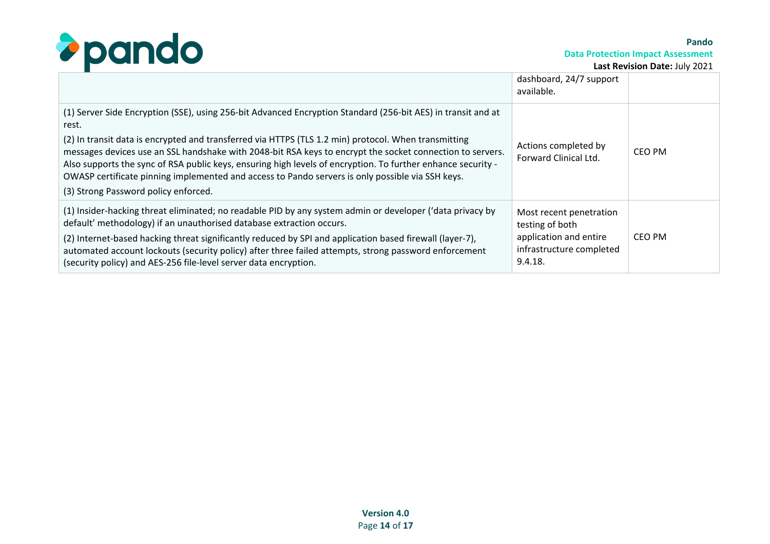

**Data Protection Impact Assessment**

**Pando**

|                                                                                                                                                                                                                                                                                                                                                                                                                                                                               | dashboard, 24/7 support<br>available.                         |        |
|-------------------------------------------------------------------------------------------------------------------------------------------------------------------------------------------------------------------------------------------------------------------------------------------------------------------------------------------------------------------------------------------------------------------------------------------------------------------------------|---------------------------------------------------------------|--------|
| (1) Server Side Encryption (SSE), using 256-bit Advanced Encryption Standard (256-bit AES) in transit and at<br>rest.                                                                                                                                                                                                                                                                                                                                                         |                                                               |        |
| (2) In transit data is encrypted and transferred via HTTPS (TLS 1.2 min) protocol. When transmitting<br>messages devices use an SSL handshake with 2048-bit RSA keys to encrypt the socket connection to servers.<br>Also supports the sync of RSA public keys, ensuring high levels of encryption. To further enhance security -<br>OWASP certificate pinning implemented and access to Pando servers is only possible via SSH keys.<br>(3) Strong Password policy enforced. | Actions completed by<br>Forward Clinical Ltd.                 | CEO PM |
| (1) Insider-hacking threat eliminated; no readable PID by any system admin or developer ('data privacy by<br>default' methodology) if an unauthorised database extraction occurs.                                                                                                                                                                                                                                                                                             | Most recent penetration<br>testing of both                    |        |
| (2) Internet-based hacking threat significantly reduced by SPI and application based firewall (layer-7),<br>automated account lockouts (security policy) after three failed attempts, strong password enforcement<br>(security policy) and AES-256 file-level server data encryption.                                                                                                                                                                                         | application and entire<br>infrastructure completed<br>9.4.18. | CEO PM |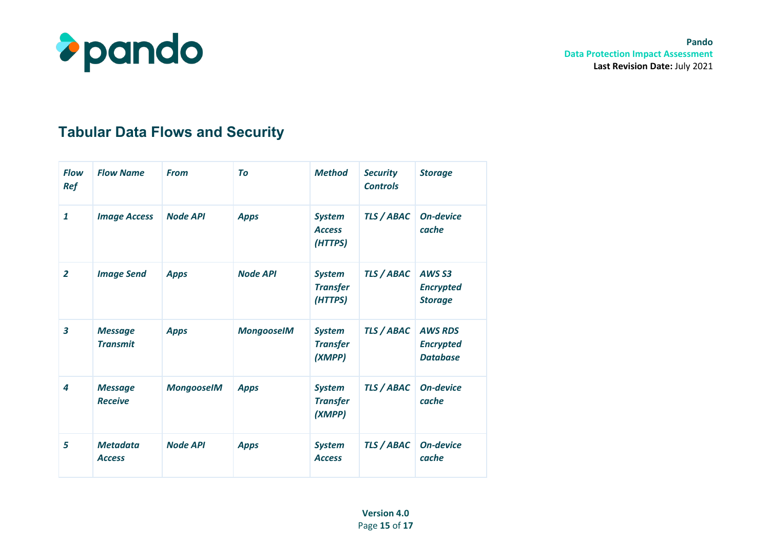

### **Tabular Data Flows and Security**

| <b>Flow</b><br><b>Ref</b> | <b>Flow Name</b>                  | <b>From</b>       | To                | <b>Method</b>                               | <b>Security</b><br><b>Controls</b> | <b>Storage</b>                                          |
|---------------------------|-----------------------------------|-------------------|-------------------|---------------------------------------------|------------------------------------|---------------------------------------------------------|
| $\mathbf{1}$              | <b>Image Access</b>               | <b>Node API</b>   | <b>Apps</b>       | <b>System</b><br><b>Access</b><br>(HTTPS)   | <b>TLS / ABAC</b>                  | <b>On-device</b><br>cache                               |
| $\overline{2}$            | <b>Image Send</b>                 | <b>Apps</b>       | <b>Node API</b>   | <b>System</b><br><b>Transfer</b><br>(HTTPS) | TLS / ABAC                         | AWS <sub>S3</sub><br><b>Encrypted</b><br><b>Storage</b> |
| $\overline{\mathbf{3}}$   | <b>Message</b><br><b>Transmit</b> | <b>Apps</b>       | <b>MongooseIM</b> | <b>System</b><br><b>Transfer</b><br>(XMPP)  | TLS / ABAC                         | <b>AWS RDS</b><br><b>Encrypted</b><br><b>Database</b>   |
| 4                         | <b>Message</b><br><b>Receive</b>  | <b>MongooseIM</b> | <b>Apps</b>       | <b>System</b><br><b>Transfer</b><br>(XMPP)  | <b>TLS / ABAC</b>                  | <b>On-device</b><br>cache                               |
| 5                         | <b>Metadata</b><br><b>Access</b>  | <b>Node API</b>   | <b>Apps</b>       | <b>System</b><br><b>Access</b>              | <b>TLS / ABAC</b>                  | <b>On-device</b><br>cache                               |

**Version 4.0**  Page **15** of **17**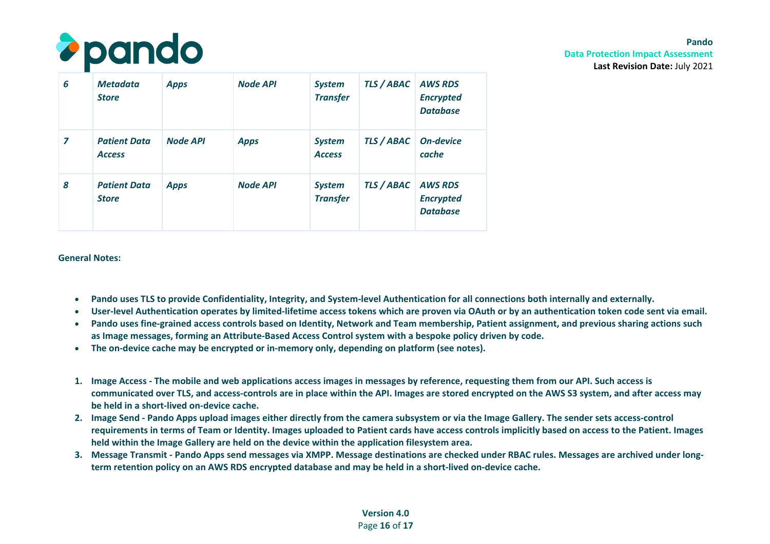

**Pando Data Protection Impact Assessment Last Revision Date:** July 2021

| 6              | <b>Metadata</b><br><b>Store</b>      | <b>Apps</b>     | <b>Node API</b> | <b>System</b><br><b>Transfer</b> | <b>TLS / ABAC   AWS RDS</b>   | <b>Encrypted</b><br><b>Database</b>                   |
|----------------|--------------------------------------|-----------------|-----------------|----------------------------------|-------------------------------|-------------------------------------------------------|
| $\overline{z}$ | <b>Patient Data</b><br><b>Access</b> | <b>Node API</b> | <b>Apps</b>     | <b>System</b><br><b>Access</b>   | <b>TLS / ABAC</b>   On-device | cache                                                 |
| 8              | <b>Patient Data</b><br><b>Store</b>  | <b>Apps</b>     | <b>Node API</b> | <b>System</b><br><b>Transfer</b> | <b>TLS / ABAC</b>             | <b>AWS RDS</b><br><b>Encrypted</b><br><b>Database</b> |

#### **General Notes:**

- **Pando uses TLS to provide Confidentiality, Integrity, and System-level Authentication for all connections both internally and externally.**
- **User-level Authentication operates by limited-lifetime access tokens which are proven via OAuth or by an authentication token code sent via email.**
- **Pando uses fine-grained access controls based on Identity, Network and Team membership, Patient assignment, and previous sharing actions such as Image messages, forming an Attribute-Based Access Control system with a bespoke policy driven by code.**
- **The on-device cache may be encrypted or in-memory only, depending on platform (see notes).**
- **1. Image Access The mobile and web applications access images in messages by reference, requesting them from our API. Such access is communicated over TLS, and access-controls are in place within the API. Images are stored encrypted on the AWS S3 system, and after access may be held in a short-lived on-device cache.**
- **2. Image Send Pando Apps upload images either directly from the camera subsystem or via the Image Gallery. The sender sets access-control requirements in terms of Team or Identity. Images uploaded to Patient cards have access controls implicitly based on access to the Patient. Images held within the Image Gallery are held on the device within the application filesystem area.**
- **3. Message Transmit Pando Apps send messages via XMPP. Message destinations are checked under RBAC rules. Messages are archived under longterm retention policy on an AWS RDS encrypted database and may be held in a short-lived on-device cache.**